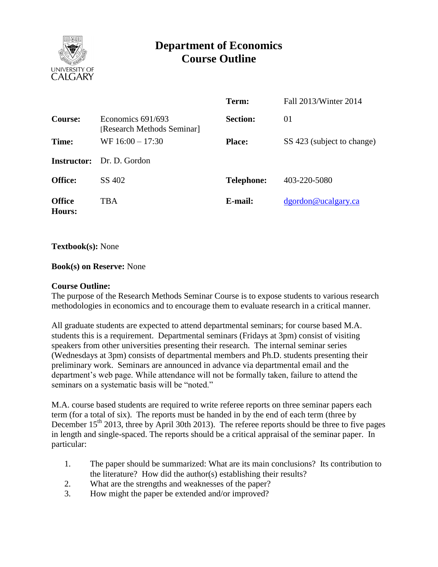

# **Department of Economics Course Outline**

|                                |                                                 | Term:             | Fall 2013/Winter 2014      |
|--------------------------------|-------------------------------------------------|-------------------|----------------------------|
| <b>Course:</b>                 | Economics 691/693<br>[Research Methods Seminar] | <b>Section:</b>   | 01                         |
| Time:                          | $WF 16:00 - 17:30$                              | <b>Place:</b>     | SS 423 (subject to change) |
| <b>Instructor:</b>             | Dr. D. Gordon                                   |                   |                            |
| <b>Office:</b>                 | SS 402                                          | <b>Telephone:</b> | 403-220-5080               |
| <b>Office</b><br><b>Hours:</b> | TBA                                             | E-mail:           | dgordon@ucalgary.ca        |

**Textbook(s):** None

## **Book(s) on Reserve:** None

## **Course Outline:**

The purpose of the Research Methods Seminar Course is to expose students to various research methodologies in economics and to encourage them to evaluate research in a critical manner.

All graduate students are expected to attend departmental seminars; for course based M.A. students this is a requirement. Departmental seminars (Fridays at 3pm) consist of visiting speakers from other universities presenting their research. The internal seminar series (Wednesdays at 3pm) consists of departmental members and Ph.D. students presenting their preliminary work. Seminars are announced in advance via departmental email and the department's web page. While attendance will not be formally taken, failure to attend the seminars on a systematic basis will be "noted."

M.A. course based students are required to write referee reports on three seminar papers each term (for a total of six). The reports must be handed in by the end of each term (three by December  $15<sup>th</sup>$  2013, three by April 30th 2013). The referee reports should be three to five pages in length and single-spaced. The reports should be a critical appraisal of the seminar paper. In particular:

- 1. The paper should be summarized: What are its main conclusions? Its contribution to the literature? How did the author(s) establishing their results?
- 2. What are the strengths and weaknesses of the paper?
- 3. How might the paper be extended and/or improved?